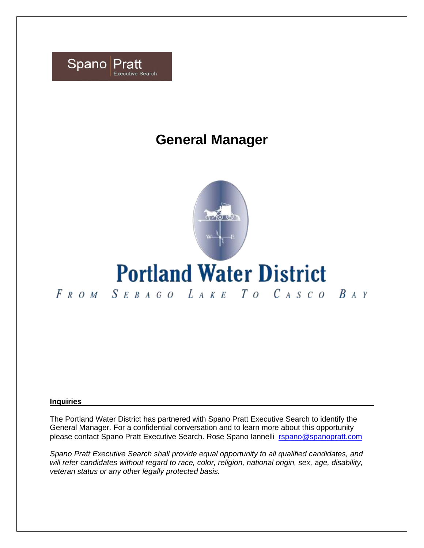

## **General Manager**



# **Portland Water District**

FROM SEBAGO LAKE TO CASCO BAY

#### **Inquiries**

The Portland Water District has partnered with Spano Pratt Executive Search to identify the General Manager. For a confidential conversation and to learn more about this opportunity please contact Spano Pratt Executive Search. Rose Spano Iannelli [rspano@spanopratt.com](mailto:rspano@spanopratt.com)

*Spano Pratt Executive Search shall provide equal opportunity to all qualified candidates, and will refer candidates without regard to race, color, religion, national origin, sex, age, disability, veteran status or any other legally protected basis.*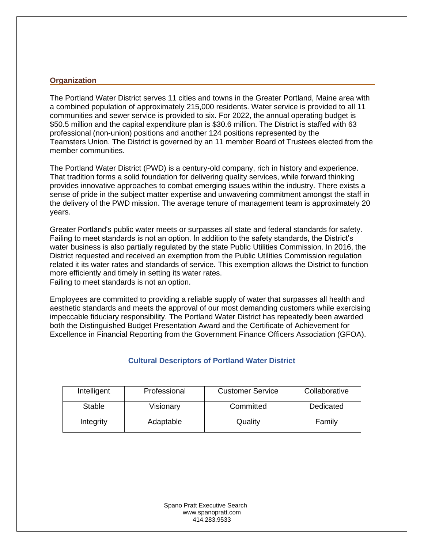#### **Organization**

The Portland Water District serves 11 cities and towns in the Greater Portland, Maine area with a combined population of approximately 215,000 residents. Water service is provided to all 11 communities and sewer service is provided to six. For 2022, the annual operating budget is \$50.5 million and the capital expenditure plan is \$30.6 million. The District is staffed with 63 professional (non-union) positions and another 124 positions represented by the Teamsters Union. The District is governed by an 11 member Board of Trustees elected from the member communities.

The Portland Water District (PWD) is a century-old company, rich in history and experience. That tradition forms a solid foundation for delivering quality services, while forward thinking provides innovative approaches to combat emerging issues within the industry. There exists a sense of pride in the subject matter expertise and unwavering commitment amongst the staff in the delivery of the PWD mission. The average tenure of management team is approximately 20 years.

Greater Portland's public water meets or surpasses all state and federal standards for safety. Failing to meet standards is not an option. In addition to the safety standards, the District's water business is also partially regulated by the state Public Utilities Commission. In 2016, the District requested and received an exemption from the Public Utilities Commission regulation related it its water rates and standards of service. This exemption allows the District to function more efficiently and timely in setting its water rates. Failing to meet standards is not an option.

Employees are committed to providing a reliable supply of water that surpasses all health and aesthetic standards and meets the approval of our most demanding customers while exercising impeccable fiduciary responsibility. The Portland Water District has repeatedly been awarded both the Distinguished Budget Presentation Award and the Certificate of Achievement for Excellence in Financial Reporting from the Government Finance Officers Association (GFOA).

| Intelligent   | Professional | <b>Customer Service</b> | Collaborative |
|---------------|--------------|-------------------------|---------------|
| <b>Stable</b> | Visionary    | Committed               | Dedicated     |
| Integrity     | Adaptable    | Quality                 | Family        |

#### **Cultural Descriptors of Portland Water District**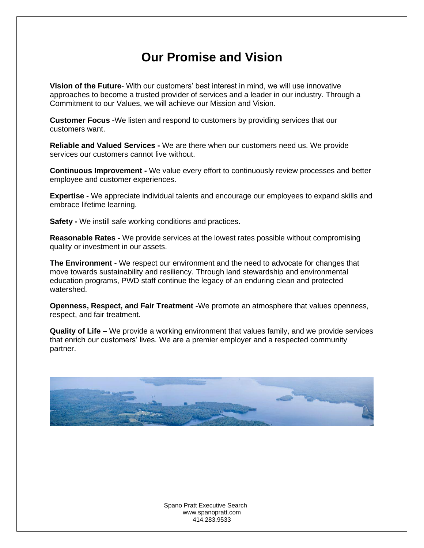### **Our Promise and Vision**

**Vision of the Future**- With our customers' best interest in mind, we will use innovative approaches to become a trusted provider of services and a leader in our industry. Through a Commitment to our Values, we will achieve our Mission and Vision.

**Customer Focus -**We listen and respond to customers by providing services that our customers want.

**Reliable and Valued Services -** We are there when our customers need us. We provide services our customers cannot live without.

**Continuous Improvement -** We value every effort to continuously review processes and better employee and customer experiences.

**Expertise -** We appreciate individual talents and encourage our employees to expand skills and embrace lifetime learning.

**Safety -** We instill safe working conditions and practices.

**Reasonable Rates -** We provide services at the lowest rates possible without compromising quality or investment in our assets.

**The Environment -** We respect our environment and the need to advocate for changes that move towards sustainability and resiliency. Through land stewardship and environmental education programs, PWD staff continue the legacy of an enduring clean and protected watershed.

**Openness, Respect, and Fair Treatment -**We promote an atmosphere that values openness, respect, and fair treatment.

**Quality of Life –** We provide a working environment that values family, and we provide services that enrich our customers' lives. We are a premier employer and a respected community partner.

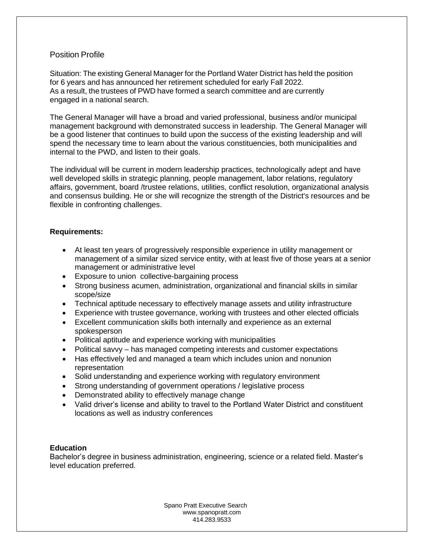#### Position Profile

Situation: The existing General Manager for the Portland Water District has held the position for 6 years and has announced her retirement scheduled for early Fall 2022. As a result, the trustees of PWD have formed a search committee and are currently engaged in a national search.

The General Manager will have a broad and varied professional, business and/or municipal management background with demonstrated success in leadership. The General Manager will be a good listener that continues to build upon the success of the existing leadership and will spend the necessary time to learn about the various constituencies, both municipalities and internal to the PWD, and listen to their goals.

The individual will be current in modern leadership practices, technologically adept and have well developed skills in strategic planning, people management, labor relations, regulatory affairs, government, board /trustee relations, utilities, conflict resolution, organizational analysis and consensus building. He or she will recognize the strength of the District's resources and be flexible in confronting challenges.

#### **Requirements:**

- At least ten years of progressively responsible experience in utility management or management of a similar sized service entity, with at least five of those years at a senior management or administrative level
- Exposure to union collective-bargaining process
- Strong business acumen, administration, organizational and financial skills in similar scope/size
- Technical aptitude necessary to effectively manage assets and utility infrastructure
- Experience with trustee governance, working with trustees and other elected officials
- Excellent communication skills both internally and experience as an external spokesperson
- Political aptitude and experience working with municipalities
- Political savvy has managed competing interests and customer expectations
- Has effectively led and managed a team which includes union and nonunion representation
- Solid understanding and experience working with regulatory environment
- Strong understanding of government operations / legislative process
- Demonstrated ability to effectively manage change
- Valid driver's license and ability to travel to the Portland Water District and constituent locations as well as industry conferences

#### **Education**

Bachelor's degree in business administration, engineering, science or a related field. Master's level education preferred.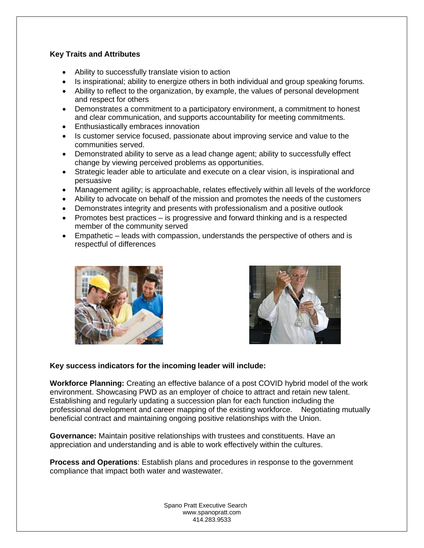#### **Key Traits and Attributes**

- Ability to successfully translate vision to action
- Is inspirational; ability to energize others in both individual and group speaking forums.
- Ability to reflect to the organization, by example, the values of personal development and respect for others
- Demonstrates a commitment to a participatory environment, a commitment to honest and clear communication, and supports accountability for meeting commitments.
- Enthusiastically embraces innovation
- Is customer service focused, passionate about improving service and value to the communities served.
- Demonstrated ability to serve as a lead change agent; ability to successfully effect change by viewing perceived problems as opportunities.
- Strategic leader able to articulate and execute on a clear vision, is inspirational and persuasive
- Management agility; is approachable, relates effectively within all levels of the workforce
- Ability to advocate on behalf of the mission and promotes the needs of the customers
- Demonstrates integrity and presents with professionalism and a positive outlook
- Promotes best practices is progressive and forward thinking and is a respected member of the community served
- Empathetic leads with compassion, understands the perspective of others and is respectful of differences





#### **Key success indicators for the incoming leader will include:**

**Workforce Planning:** Creating an effective balance of a post COVID hybrid model of the work environment. Showcasing PWD as an employer of choice to attract and retain new talent. Establishing and regularly updating a succession plan for each function including the professional development and career mapping of the existing workforce. Negotiating mutually beneficial contract and maintaining ongoing positive relationships with the Union.

**Governance:** Maintain positive relationships with trustees and constituents. Have an appreciation and understanding and is able to work effectively within the cultures.

**Process and Operations**: Establish plans and procedures in response to the government compliance that impact both water and wastewater.